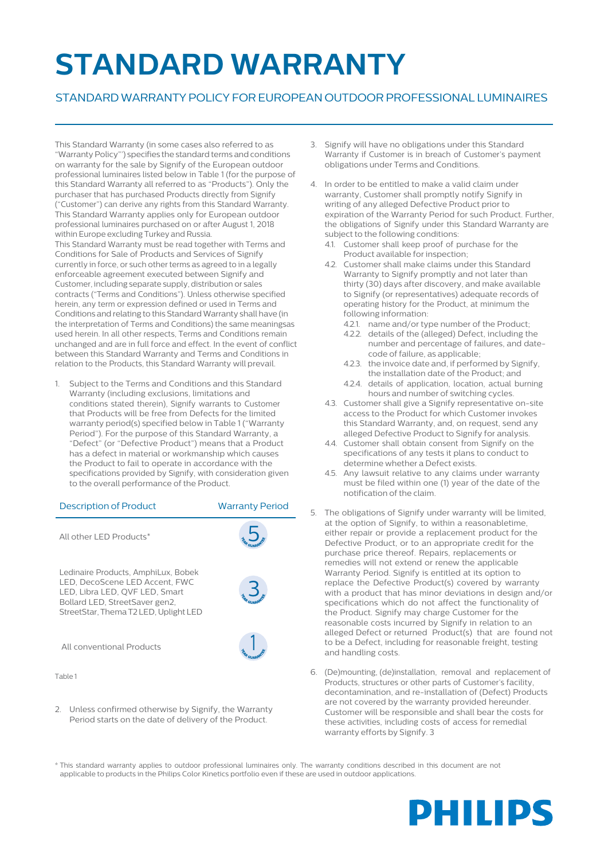## **STANDARD WARRANTY**

## STANDARDWARRANTYPOLICY FOREUROPEAN OUTDOORPROFESSIONAL LUMINAIRES

This Standard Warranty (in some cases also referred to as "WarrantyPolicy"') specifies the standard terms and conditions on warranty for the sale by Signify of the European outdoor professional luminaires listed below in Table 1 (for the purpose of this Standard Warranty all referred to as "Products"). Only the purchaser that has purchased Products directly from Signify ("Customer") can derive any rights from this Standard Warranty. This Standard Warranty applies only for European outdoor professional luminaires purchased on or after August 1, 2018 within Europe excluding Turkey and Russia. This Standard Warranty must be read together with Terms and Conditions for Sale of Products and Services of Signify currently in force, or such other terms as agreed to in a legally enforceable agreement executed between Signify and Customer, including separate supply, distribution or sales contracts ("Terms and Conditions"). Unless otherwise specified herein, any term or expression defined or used in Terms and Conditions and relating to this Standard Warranty shall have (in the interpretation of Terms and Conditions) the same meaningsas used herein. In all other respects, Terms and Conditions remain unchanged and are in full force and effect. In the event of conflict between this Standard Warranty and Terms and Conditions in relation to the Products, this Standard Warranty will prevail.

Subject to the Terms and Conditions and this Standard Warranty (including exclusions, limitations and conditions stated therein), Signify warrants to Customer that Products will be free from Defects for the limited warranty period(s) specified below in Table 1 ("Warranty Period"). For the purpose of this Standard Warranty, a "Defect" (or "Defective Product") means that a Product has a defect in material or workmanship which causes the Product to fail to operate in accordance with the specifications provided by Signify, with consideration given to the overall performance of the Product.

| <b>Description of Product</b>                                                                                                                                                      | <b>Warranty Period</b> |
|------------------------------------------------------------------------------------------------------------------------------------------------------------------------------------|------------------------|
| All other LED Products*                                                                                                                                                            |                        |
| Ledinaire Products, AmphiLux, Bobek<br>LED. DecoScene LED Accent. FWC<br>LED, Libra LED, QVF LED, Smart<br>Bollard LED, StreetSaver gen2,<br>StreetStar, Thema T2 LED, Uplight LED |                        |
| All conventional Products                                                                                                                                                          |                        |

Table 1

2. Unless confirmed otherwise by Signify, the Warranty Period starts on the date of delivery of the Product.

- 3. Signify will have no obligations under this Standard Warranty if Customer is in breach of Customer's payment obligations under Terms and Conditions.
- 4. In order to be entitled to make a valid claim under warranty, Customer shall promptly notify Signify in writing of any alleged Defective Product prior to expiration of the Warranty Period for such Product. Further, the obligations of Signify under this Standard Warranty are subject to the following conditions:
	- 4.1. Customer shall keep proof of purchase for the Product available for inspection;
	- 4.2. Customer shall make claims under this Standard Warranty to Signify promptly and not later than thirty (30) days after discovery, and make available to Signify (or representatives) adequate records of operating history for the Product, at minimum the following information:
		- 4.2.1. name and/or type number of the Product;
		- 4.2.2. details of the (alleged) Defect, including the number and percentage of failures, and datecode of failure, as applicable;
		- 4.2.3. the invoice date and, if performed by Signify, the installation date of the Product; and
		- 4.2.4. details of application, location, actual burning hours and number of switching cycles.
	- 4.3. Customer shall give a Signify representative on-site access to the Product for which Customer invokes this Standard Warranty, and, on request, send any alleged Defective Product to Signify for analysis.
	- 4.4. Customer shall obtain consent from Signify on the specifications of any tests it plans to conduct to determine whether a Defect exists.
	- 4.5. Any lawsuit relative to any claims under warranty must be filed within one (1) year of the date of the notification of the claim.
- 5. The obligations of Signify under warranty will be limited, at the option of Signify, to within a reasonabletime, either repair or provide a replacement product for the Defective Product, or to an appropriate credit for the purchase price thereof. Repairs, replacements or remedies will not extend or renew the applicable Warranty Period. Signify is entitled at its option to replace the Defective Product(s) covered by warranty with a product that has minor deviations in design and/or specifications which do not affect the functionality of the Product. Signify may charge Customer for the reasonable costs incurred by Signify in relation to an alleged Defect or returned Product(s) that are found not to be a Defect, including for reasonable freight, testing and handling costs.
- 6. (De)mounting, (de)installation, removal and replacement of Products, structures or other parts of Customer's facility, decontamination, and re-installation of (Defect) Products are not covered by the warranty provided hereunder. Customer will be responsible and shall bear the costs for these activities, including costs of access for remedial warranty efforts by Signify. 3

\* This standard warranty applies to outdoor professional luminaires only. The warranty conditions described in this document are not applicable to products in the Philips Color Kinetics portfolio even if these are used in outdoor applications.